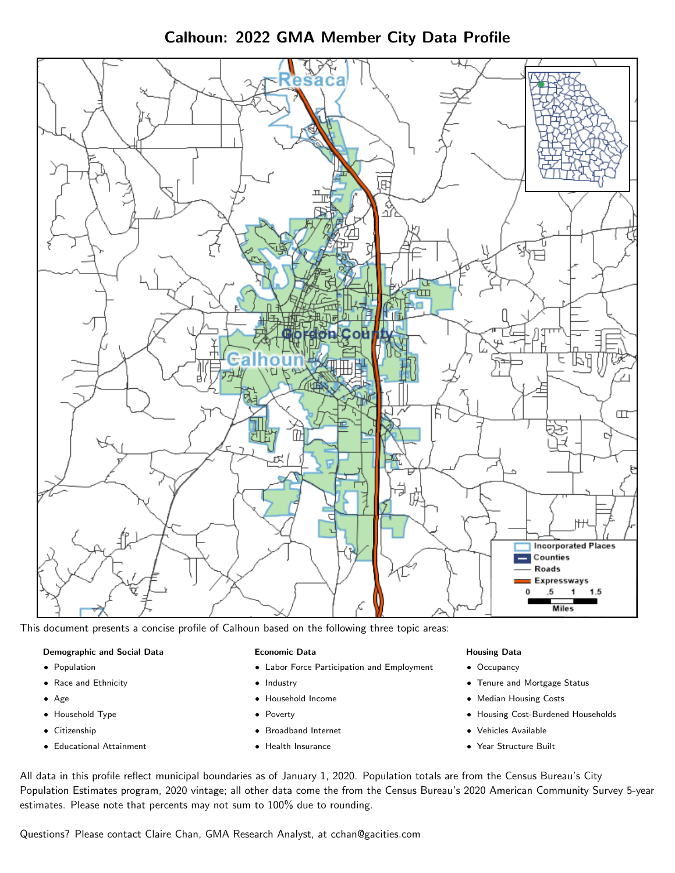Calhoun: 2022 GMA Member City Data Profile



This document presents a concise profile of Calhoun based on the following three topic areas:

#### Demographic and Social Data

- **•** Population
- Race and Ethnicity
- Age
- Household Type
- **Citizenship**
- Educational Attainment

## Economic Data

- Labor Force Participation and Employment
- Industry
- Household Income
- Poverty
- Broadband Internet
- Health Insurance

## Housing Data

- Occupancy
- Tenure and Mortgage Status
- Median Housing Costs
- Housing Cost-Burdened Households
- Vehicles Available
- Year Structure Built

All data in this profile reflect municipal boundaries as of January 1, 2020. Population totals are from the Census Bureau's City Population Estimates program, 2020 vintage; all other data come the from the Census Bureau's 2020 American Community Survey 5-year estimates. Please note that percents may not sum to 100% due to rounding.

Questions? Please contact Claire Chan, GMA Research Analyst, at [cchan@gacities.com.](mailto:cchan@gacities.com)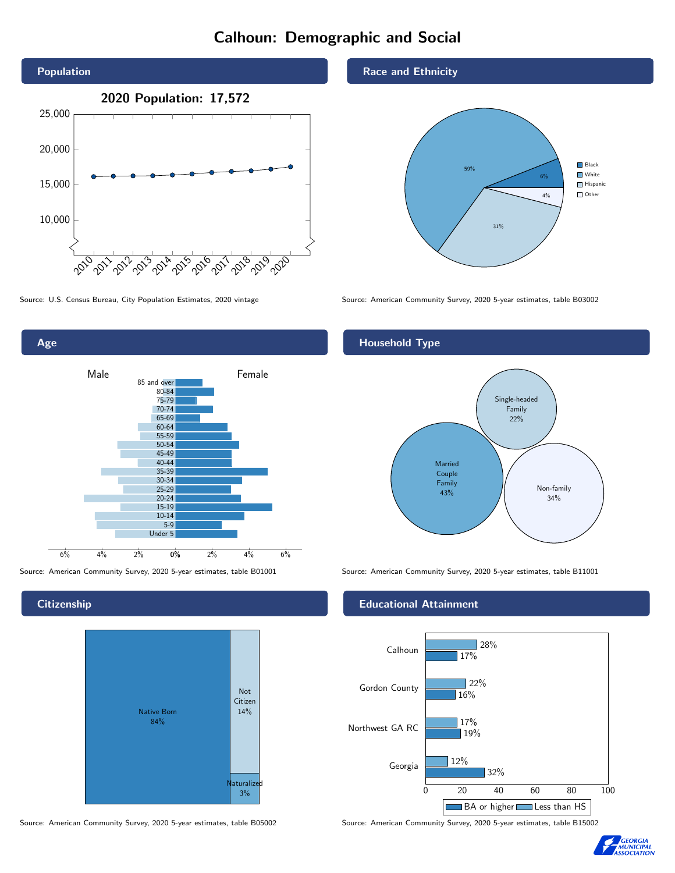# Calhoun: Demographic and Social





**Citizenship** 



Source: American Community Survey, 2020 5-year estimates, table B05002 Source: American Community Survey, 2020 5-year estimates, table B15002

Race and Ethnicity



Source: U.S. Census Bureau, City Population Estimates, 2020 vintage Source: American Community Survey, 2020 5-year estimates, table B03002

## Household Type



Source: American Community Survey, 2020 5-year estimates, table B01001 Source: American Community Survey, 2020 5-year estimates, table B11001

## Educational Attainment



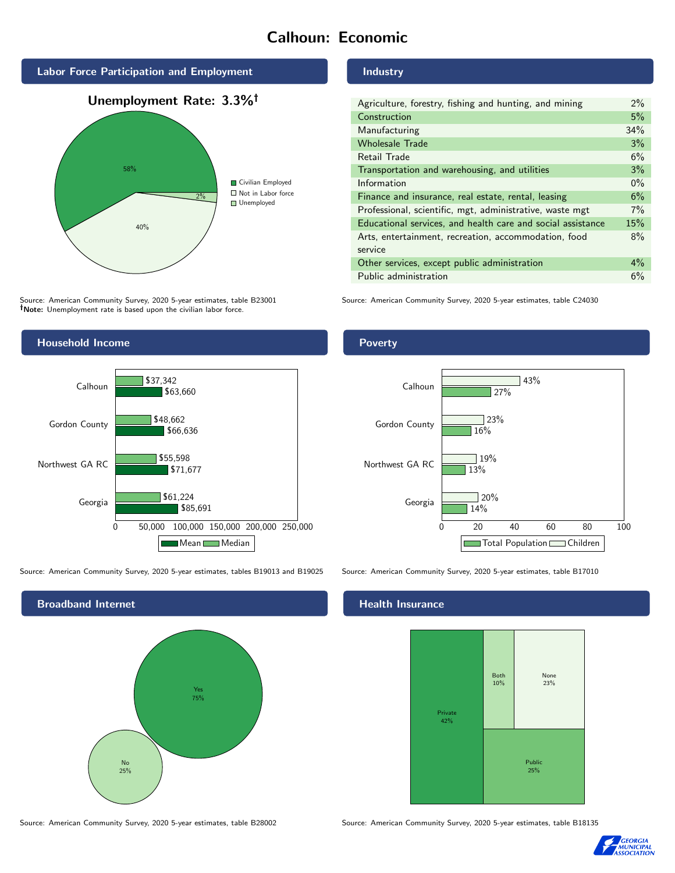# Calhoun: Economic



Source: American Community Survey, 2020 5-year estimates, table B23001 Note: Unemployment rate is based upon the civilian labor force.

## Industry

| Agriculture, forestry, fishing and hunting, and mining      | $2\%$ |
|-------------------------------------------------------------|-------|
| Construction                                                | 5%    |
| Manufacturing                                               | 34%   |
| <b>Wholesale Trade</b>                                      | 3%    |
| Retail Trade                                                | 6%    |
| Transportation and warehousing, and utilities               | 3%    |
| Information                                                 | $0\%$ |
| Finance and insurance, real estate, rental, leasing         | 6%    |
| Professional, scientific, mgt, administrative, waste mgt    | $7\%$ |
| Educational services, and health care and social assistance | 15%   |
| Arts, entertainment, recreation, accommodation, food        | 8%    |
| service                                                     |       |
| Other services, except public administration                | $4\%$ |
| Public administration                                       | 6%    |

Source: American Community Survey, 2020 5-year estimates, table C24030



Source: American Community Survey, 2020 5-year estimates, tables B19013 and B19025 Source: American Community Survey, 2020 5-year estimates, table B17010



Poverty



## Health Insurance



Source: American Community Survey, 2020 5-year estimates, table B28002 Source: American Community Survey, 2020 5-year estimates, table B18135